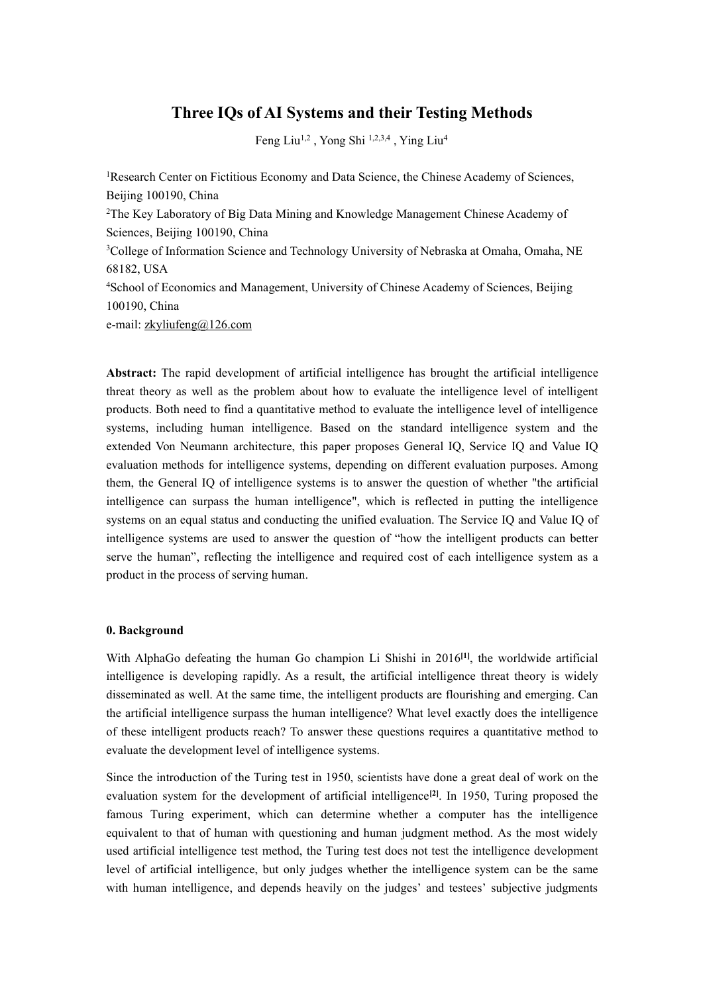# **Three IQs ofAI Systems and their Testing Methods**

Feng Liu<sup>1,2</sup>, Yong Shi<sup>1,2,3,4</sup>, Ying Liu<sup>4</sup> 4

<sup>1</sup>Research Center on Fictitious Economy and Data Science, the Chinese Academy of Sciences, Beijing 100190, China <sup>2</sup>The Key Laboratory of Big Data Mining and Knowledge Management Chinese Academy of Sciences, Beijing 100190, China <sup>3</sup>College of Information Science and Technology University of Nebraska at Omaha, Omaha, NE 68182, USA <sup>4</sup>School of Economics and Management, University of Chinese Academy of Sciences, Beijing 100190, China e-mail: zkyliufeng@126.com

**Abstract:** The rapid development of artificial intelligence has brought the artificial intelligence threat theory as wellas the problem about how to evaluate the intelligence level of intelligent products. Both need to find a quantitative method to evaluate the intelligence level of intelligence systems, including human intelligence. Based on the standard intelligence system and the extended Von Neumann architecture, this paper proposes General IQ, Service IQ and Value IQ evaluation methods for intelligence systems, depending on different evaluation purposes. Among them, the General IQ of intelligence systems is to answer the question of whether "the artificial intelligence can surpass the human intelligence", which is reflected in putting the intelligence systems on an equal status and conducting the unified evaluation.The Service IQ and Value IQ of intelligence systems are used to answer the question of "how the intelligent products can better serve the human", reflecting the intelligence and required cost of each intelligence system as a product in the process of serving human.

#### **0. Background**

With AlphaGo defeating the human Go champion Li Shishi in 2016 **[1]**, the worldwide artificial intelligence is developing rapidly. As a result, the artificial intelligence threat theory is widely disseminated as well. At the same time, the intelligent products are flourishing and emerging. Can the artificial intelligence surpass the human intelligence? What level exactly does the intelligence of these intelligent products reach? To answer these questions requires a quantitative method to evaluate the development level of intelligence systems.<br>Since the introduction of the Turing test in 1950, scientists have done a great deal of work on the

evaluation system for the development of artificial intelligence **[2]**. In 1950, Turing proposed the famous Turing experiment, which can determine whether a computer has the intelligence equivalent to that of human with questioning and human judgment method. As the most widely used artificial intelligence test method, the Turing test does not test the intelligence development level of artificial intelligence, but only judges whether the intelligence system can be the same with human intelligence, and depends heavily on the judges' and testees' subjective judgments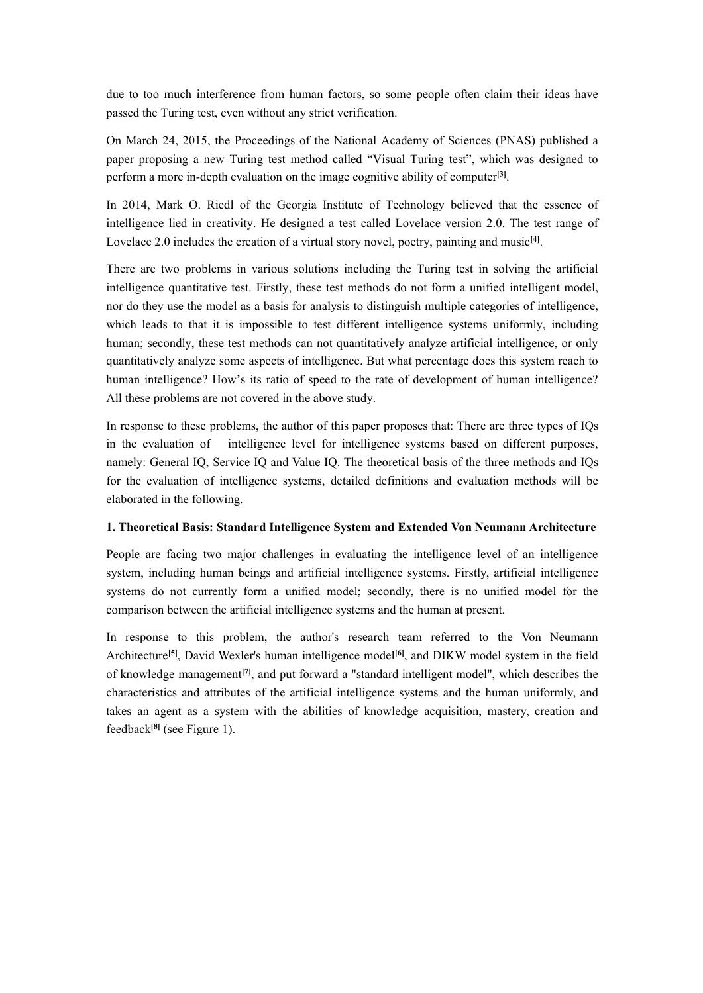due to too much interference from human factors, so some people often claim their ideas have passed the Turing test, even without any strict verification.

On March 24, 2015, the Proceedings of the National Academy of Sciences (PNAS) published a paper proposing a new Turing test method called "Visual Turing test", which was designed to perform a more in-depth evaluation on the image cognitive ability of computer **[3]**.

In 2014, Mark O. Riedl of the Georgia Institute of Technology believed that the essence of intelligence lied in creativity. He designed a test called Lovelace version 2.0. The test range of Lovelace 2.0 includes the creation of a virtual story novel, poetry, painting and music **[4]**.

There are two problems in various solutions including the Turing test in solving the artificial intelligence quantitative test. Firstly, these test methods do not form a unified intelligent model, nor do they use the model as a basis for analysis to distinguish multiple categories ofintelligence, which leads to that it is impossible to test different intelligence systems uniformly, including human; secondly, these test methods can not quantitatively analyze artificial intelligence, or only quantitatively analyze some aspects of intelligence. But what percentage does this system reach to human intelligence? How's its ratio of speed to the rate of development of human intelligence? All these problems are not covered in the above study.

In response to these problems, the author of this paper proposes that: There are three types of IQs in the evaluation of intelligence level for intelligence systems based on different purposes, namely: General IQ, Service IQ and Value IQ. The theoretical basis of the three methods and IQs for the evaluation of intelligence systems, detailed definitions and evaluation methods will be elaborated in the following.

#### **1. Theoretical Basis: Standard Intelligence System and Extended Von Neumann Architecture**

People are facing two major challenges in evaluating the intelligence level of an intelligence system, including human beings and artificial intelligence systems. Firstly, artificial intelligence systems do not currently form a unified model; secondly, there is no unified model for the comparison between the artificial intelligence systems and the human at present.

In response to this problem, the author's research team referred to the Von Neumann Architecture **[5]**, David Wexler's human intelligence model **[6]**, and DIKW model system in the field of knowledge management **[7]**, and put forward a "standard intelligent model", which describes the characteristics and attributes of the artificial intelligence systems and the human uniformly, and takes an agent as a system with the abilities of knowledge acquisition, mastery, creation and feedback **[8]** (see Figure 1).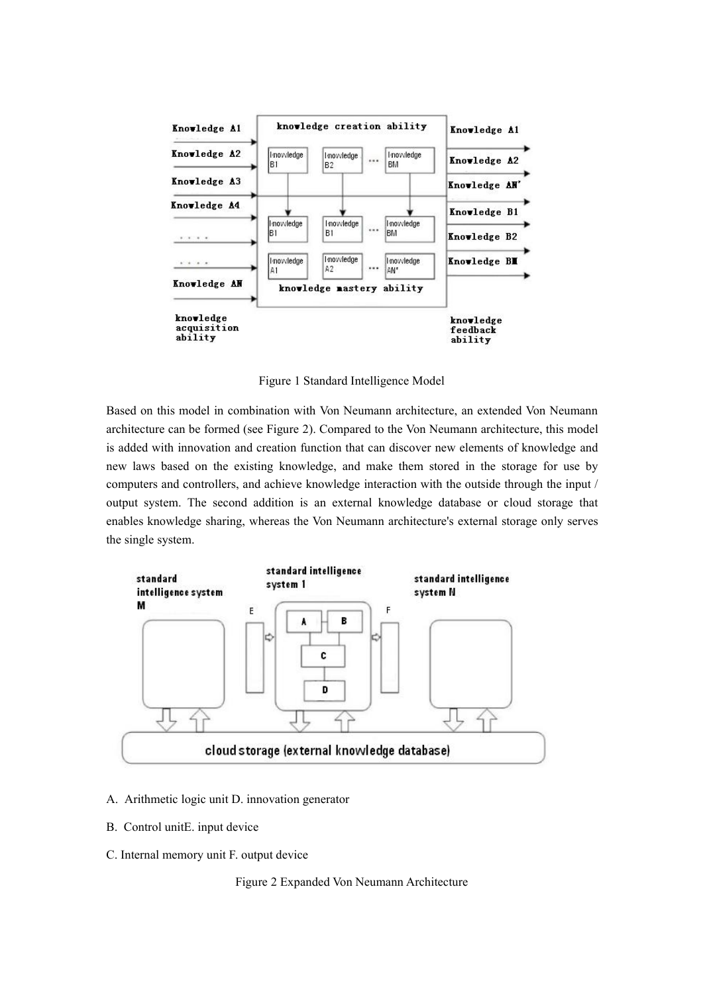

Figure 1 Standard Intelligence Model

Based on this model in combination with Von Neumann architecture, an extended Von Neumann architecture can be formed (see Figure 2). Compared to the Von Neumann architecture, this model is added with innovation and creation function that can discover new elements of knowledge and new laws based on the existing knowledge, and make them stored in the storage for use by computers and controllers, and achieve knowledge interaction with the outside through the input / output system. The second addition is an external knowledge database or cloud storage that enables knowledge sharing, whereas the Von Neumann architecture's external storage only serves the single system.



- A. Arithmetic logic unit D. innovation generator
- B. Control unitE. input device
- C. Internal memory unit F. output device

Figure 2 Expanded Von Neumann Architecture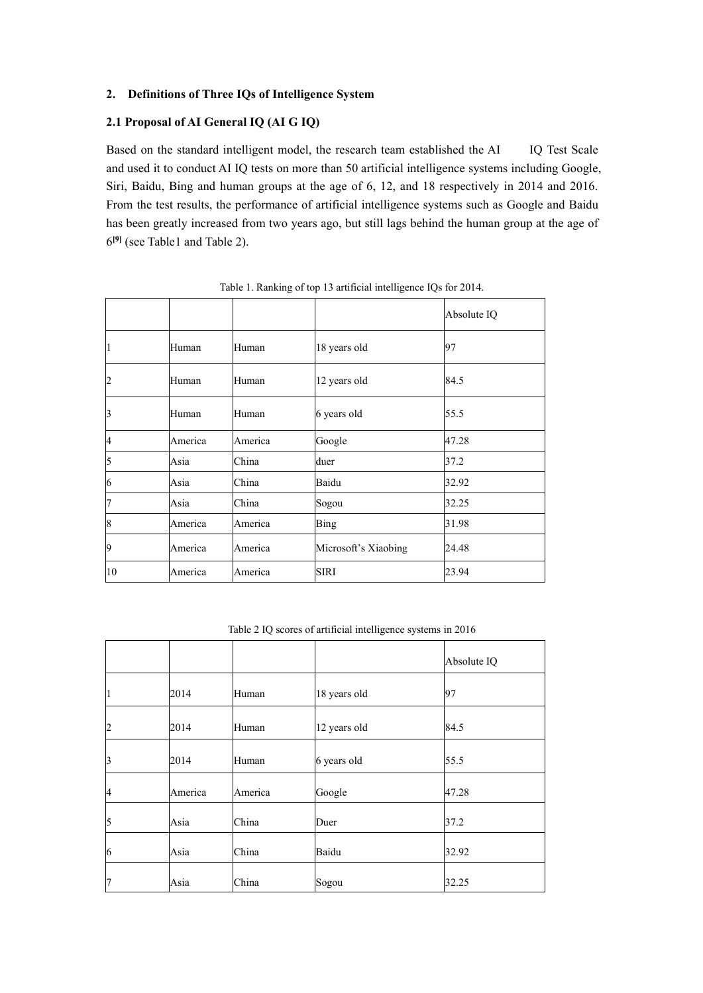# 2. **Definitions** of Three **IQs** of Intelligence System

# **2.1 Proposal of AI General IQ (AI G IQ)**

Based on the standard intelligent model, the research team established the AI IQ Test Scale and used it to conduct AI IQ tests on more than 50 artificial intelligence systems including Google, Siri, Baidu, Bing and human groups at the age of 6, 12, and 18 respectively in 2014 and 2016. From the test results, the performance of artificial intelligence systems such as Google and Baidu has been greatly increased from two years ago, but still lags behind the human group at the age of **[9]** (see Table1 and Table 2).

|              |         |         | 1,000 to 1,000 mm and 1,000 mm and 1,000 mm and 1,000 mm and 1,000 mm and 1,000 mm and 1,000 mm and 1,000 mm a |             |
|--------------|---------|---------|----------------------------------------------------------------------------------------------------------------|-------------|
|              |         |         |                                                                                                                | Absolute IQ |
|              | Human   | Human   | 18 years old                                                                                                   | 97          |
| 12           | Human   | Human   | 12 years old                                                                                                   | 84.5        |
| 3            | Human   | Human   | 6 years old                                                                                                    | 55.5        |
| 4            | America | America | Google                                                                                                         | 47.28       |
| 5            | Asia    | China   | duer                                                                                                           | 37.2        |
| 6            | Asia    | China   | Baidu                                                                                                          | 32.92       |
| 17           | Asia    | China   | Sogou                                                                                                          | 32.25       |
| 18           | America | America | Bing                                                                                                           | 31.98       |
| 19           | America | America | Microsoft's Xiaobing                                                                                           | 24.48       |
| $ 10\rangle$ | America | America | <b>SIRI</b>                                                                                                    | 23.94       |

Table 1. Ranking of top 13 artificial intelligence IQs for 2014.

Table 2 IQ scores of artificial intelligence systems in 2016

|             |         |         |              | Absolute IQ |
|-------------|---------|---------|--------------|-------------|
|             | 2014    | Human   | 18 years old | 97          |
| $ 2\rangle$ | 2014    | Human   | 12 years old | 84.5        |
| 3           | 2014    | Human   | 6 years old  | 55.5        |
| 4           | America | America | Google       | 47.28       |
| $\vert$ 5   | Asia    | China   | Duer         | 37.2        |
| $ 6\rangle$ | Asia    | China   | Baidu        | 32.92       |
| 17          | Asia    | China   | Sogou        | 32.25       |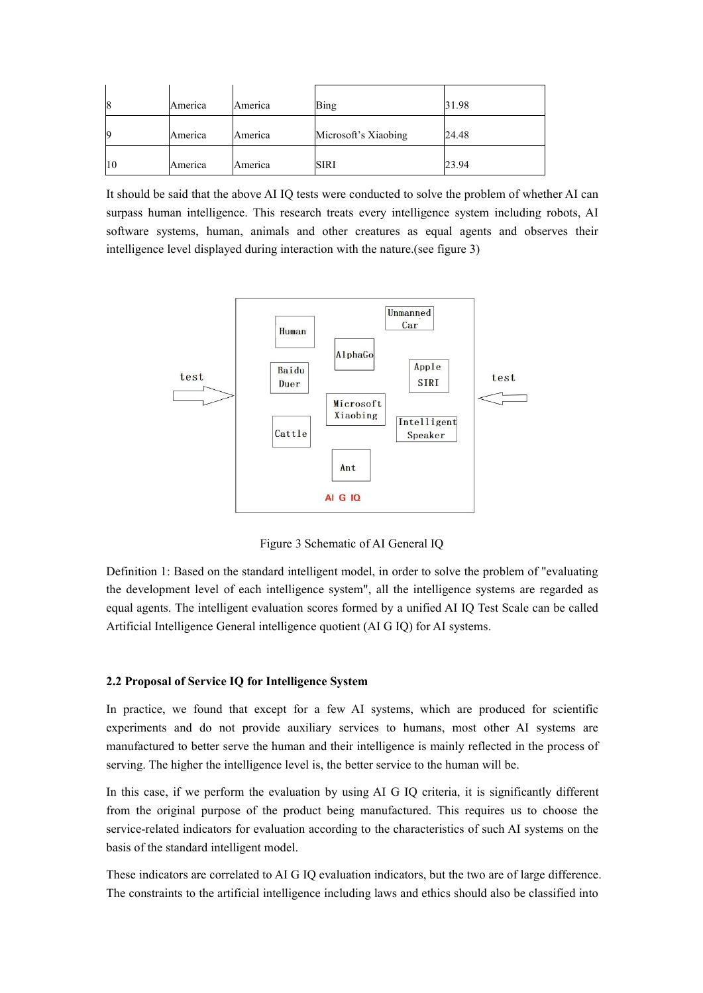| 18 | America | America        | Bing                 | 31.98 |
|----|---------|----------------|----------------------|-------|
| 19 | America | America        | Microsoft's Xiaobing | 24.48 |
| 10 | America | <b>America</b> | <b>SIRI</b>          | 23.94 |

It should be said that the above AI IQ tests were conducted to solve the problem of whether AI can surpass human intelligence. This research treats every intelligence system including robots, AI software systems, human, animals and other creatures as equal agents and observes their intelligence level displayed during interaction with the nature.(see figure 3)



Figure 3 Schematic of AI General IQ

Definition 1: Based on the standard intelligent model, in order to solve the problem of "evaluating the development level of each intelligence system", all the intelligence systems are regarded as equal agents. The intelligent evaluation scores formed by a unified AI IQ Test Scale can be called Artificial Intelligence General intelligence quotient (AI G IQ) for AI systems.

#### **2.2 Proposal of Service IQ for Intelligence System**

In practice, we found that except for a few AI systems, which are produced for scientific experiments and do not provide auxiliary services to humans, most other AI systems are manufactured to better serve the human and their intelligence is mainly reflected in the process of serving. The higher the intelligence level is, the better service to the human will be.

In this case, if we perform the evaluation by using AI G IQ criteria, it is significantly different from the original purpose of the product being manufactured. This requires us to choose the service-related indicators for evaluation according to the characteristics of such AI systems on the basis of the standard intelligent model.

These indicators are correlated to AI G IQ evaluation indicators, but the two are of large difference. The constraints to the artificial intelligence including lawsand ethics should also be classified into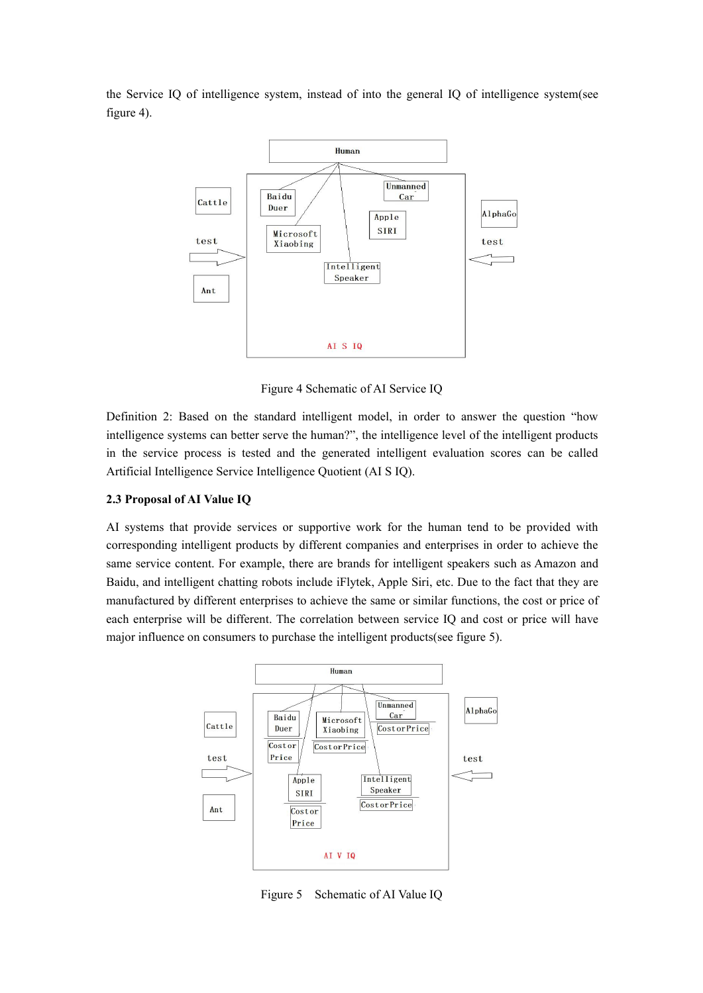the Service IQ of intelligence system, instead of into the general IQ of intelligence system(see figure 4).



Figure 4 Schematic of AI Service IQ

Definition 2: Based on the standard intelligent model, in order to answer the question "how intelligence systems can better serve the human?", the intelligence level of the intelligent products in the service process is tested and the generated intelligent evaluation scores can be called Artificial Intelligence Service Intelligence Quotient (AI S IQ).

## **2.3 Proposal of AI Value IQ**

AI systems that provide services or supportive work for the human tend to be provided with corresponding intelligent products by different companies and enterprises in order to achieve the same service content. For example, there are brands for intelligent speakers such as Amazon and Baidu, and intelligent chatting robots include iFlytek, Apple Siri, etc. Due to the fact that they are manufactured by different enterprises to achieve the same or similar functions, the cost or price of each enterprise will be different. The correlation between service IQ and cost orprice will have major influence on consumers to purchase the intelligent products(see figure 5).



Figure 5 Schematic of AI Value IQ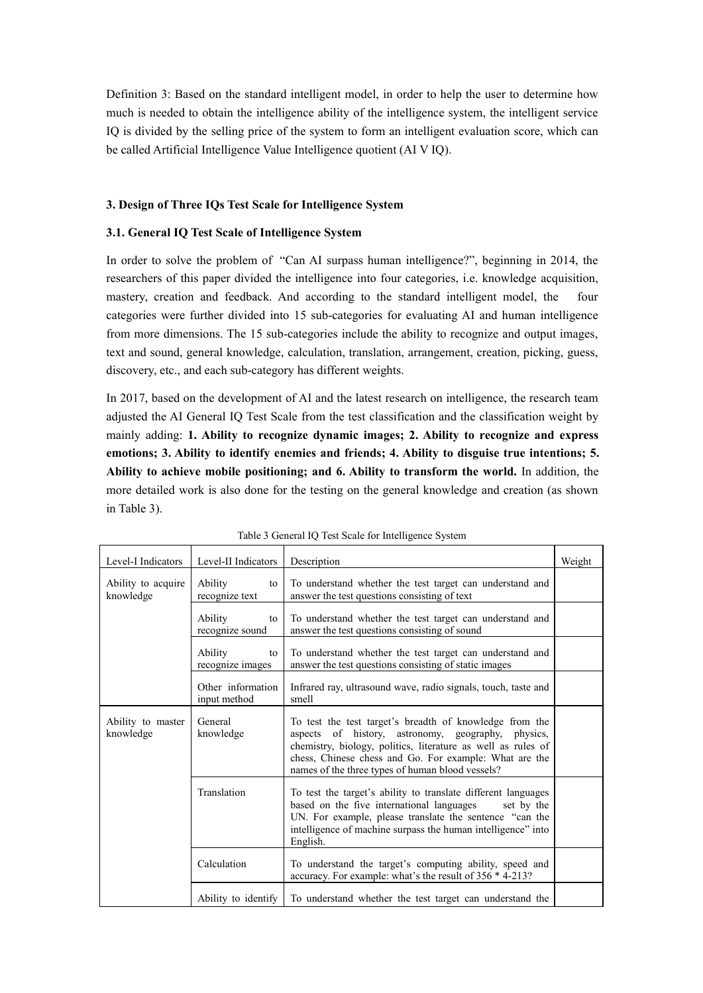Definition 3: Based on the standard intelligent model, in order to help the user to determine how much is needed to obtain the intelligence ability of the intelligence system, the intelligent service IQ is divided by the selling price of the system to form an intelligent evaluation score, which can be called Artificial Intelligence Value Intelligence quotient (AI V IQ).

## **3. Design of Three IQs Test Scale for Intelligence System**

## **3.1. General IQ Test Scale of Intelligence System**

In order to solve the problem of "Can AI surpass human intelligence?", beginning in 2014, the researchers of this paper divided the intelligence into four categories, i.e. knowledge acquisition, mastery, creation and feedback. And according to the standard intelligent model, the four categories were further divided into 15 sub-categories for evaluating AI and human intelligence from more dimensions. The 15 sub-categories include the ability to recognize and output images, text and sound, general knowledge, calculation, translation, arrangement, creation, picking, guess, discovery, etc., and each sub-category has different weights.

In 2017, based on the development of AI and the latest research on intelligence, the research team adjusted the AI General IQ Test Scale from the test classification and the classification weight by mainly adding: **1. Ability to recognize dynamic images; 2. Ability to recognize and express emotions; 3. Ability to identify enemies and friends; 4. Ability to disguise true intentions; 5. Ability to achieve mobile positioning; and 6. Ability to transform the world.** In addition, the more detailed work is also done for the testing on the general knowledge and creation (as shown in Table 3).

| Level-I Indicators              | Level-II Indicators               | Description                                                                                                                                                                                                                                                                                 | Weight |
|---------------------------------|-----------------------------------|---------------------------------------------------------------------------------------------------------------------------------------------------------------------------------------------------------------------------------------------------------------------------------------------|--------|
| Ability to acquire<br>knowledge | Ability<br>to<br>recognize text   | To understand whether the test target can understand and<br>answer the test questions consisting of text                                                                                                                                                                                    |        |
|                                 | Ability<br>to<br>recognize sound  | To understand whether the test target can understand and<br>answer the test questions consisting of sound                                                                                                                                                                                   |        |
|                                 | Ability<br>to<br>recognize images | To understand whether the test target can understand and<br>answer the test questions consisting of static images                                                                                                                                                                           |        |
|                                 | Other information<br>input method | Infrared ray, ultrasound wave, radio signals, touch, taste and<br>smell                                                                                                                                                                                                                     |        |
| Ability to master<br>knowledge  | General<br>knowledge              | To test the test target's breadth of knowledge from the<br>aspects of history, astronomy, geography, physics,<br>chemistry, biology, politics, literature as well as rules of<br>chess, Chinese chess and Go. For example: What are the<br>names of the three types of human blood vessels? |        |
|                                 | Translation                       | To test the target's ability to translate different languages<br>based on the five international languages<br>set by the<br>UN. For example, please translate the sentence "can the<br>intelligence of machine surpass the human intelligence" into<br>English.                             |        |
|                                 | Calculation                       | To understand the target's computing ability, speed and<br>accuracy. For example: what's the result of 356 * 4-213?                                                                                                                                                                         |        |
|                                 | Ability to identify               | To understand whether the test target can understand the                                                                                                                                                                                                                                    |        |

Table 3 General IQ Test Scale for Intelligence System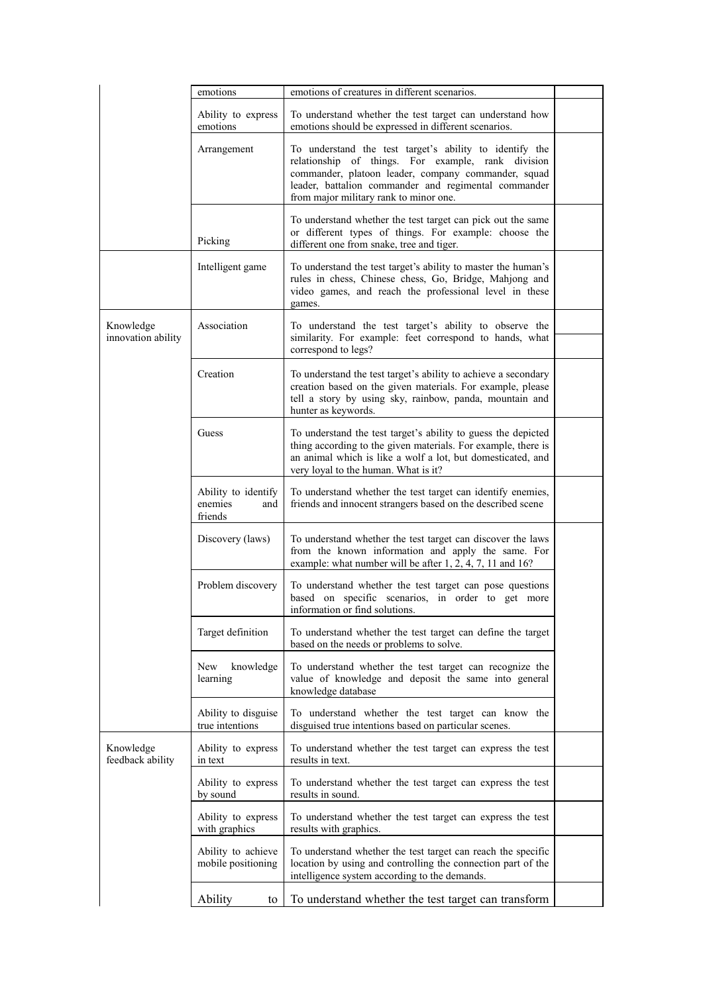|                                 | emotions                                         | emotions of creatures in different scenarios.                                                                                                                                                                                                                          |  |
|---------------------------------|--------------------------------------------------|------------------------------------------------------------------------------------------------------------------------------------------------------------------------------------------------------------------------------------------------------------------------|--|
|                                 | Ability to express<br>emotions                   | To understand whether the test target can understand how<br>emotions should be expressed in different scenarios.                                                                                                                                                       |  |
|                                 | Arrangement                                      | To understand the test target's ability to identify the<br>relationship of things. For example, rank division<br>commander, platoon leader, company commander, squad<br>leader, battalion commander and regimental commander<br>from major military rank to minor one. |  |
|                                 | Picking                                          | To understand whether the test target can pick out the same<br>or different types of things. For example: choose the<br>different one from snake, tree and tiger.                                                                                                      |  |
|                                 | Intelligent game                                 | To understand the test target's ability to master the human's<br>rules in chess, Chinese chess, Go, Bridge, Mahjong and<br>video games, and reach the professional level in these<br>games.                                                                            |  |
| Knowledge<br>innovation ability | Association                                      | To understand the test target's ability to observe the<br>similarity. For example: feet correspond to hands, what<br>correspond to legs?                                                                                                                               |  |
|                                 | Creation                                         | To understand the test target's ability to achieve a secondary<br>creation based on the given materials. For example, please<br>tell a story by using sky, rainbow, panda, mountain and<br>hunter as keywords.                                                         |  |
|                                 | Guess                                            | To understand the test target's ability to guess the depicted<br>thing according to the given materials. For example, there is<br>an animal which is like a wolf a lot, but domesticated, and<br>very loyal to the human. What is it?                                  |  |
|                                 | Ability to identify<br>enemies<br>and<br>friends | To understand whether the test target can identify enemies,<br>friends and innocent strangers based on the described scene                                                                                                                                             |  |
|                                 | Discovery (laws)                                 | To understand whether the test target can discover the laws<br>from the known information and apply the same. For<br>example: what number will be after 1, 2, 4, 7, 11 and 16?                                                                                         |  |
|                                 | Problem discovery                                | To understand whether the test target can pose questions<br>based on specific scenarios, in order to get more<br>information or find solutions.                                                                                                                        |  |
|                                 | Target definition                                | To understand whether the test target can define the target<br>based on the needs or problems to solve.                                                                                                                                                                |  |
|                                 | New<br>knowledge<br>learning                     | To understand whether the test target can recognize the<br>value of knowledge and deposit the same into general<br>knowledge database                                                                                                                                  |  |
|                                 | Ability to disguise<br>true intentions           | To understand whether the test target can know the<br>disguised true intentions based on particular scenes.                                                                                                                                                            |  |
| Knowledge<br>feedback ability   | Ability to express<br>in text                    | To understand whether the test target can express the test<br>results in text.                                                                                                                                                                                         |  |
|                                 | Ability to express<br>by sound                   | To understand whether the test target can express the test<br>results in sound.                                                                                                                                                                                        |  |
|                                 | Ability to express<br>with graphics              | To understand whether the test target can express the test<br>results with graphics.                                                                                                                                                                                   |  |
|                                 | Ability to achieve<br>mobile positioning         | To understand whether the test target can reach the specific<br>location by using and controlling the connection part of the<br>intelligence system according to the demands.                                                                                          |  |
|                                 | Ability<br>to                                    | To understand whether the test target can transform                                                                                                                                                                                                                    |  |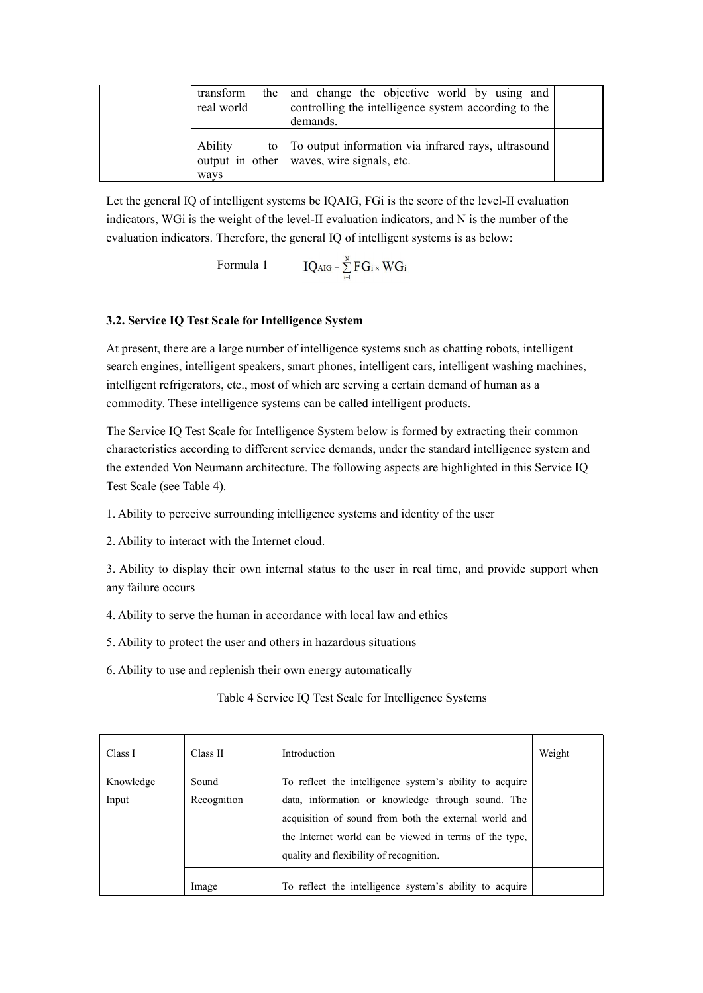| transform<br>real world | the and change the objective world by using and<br>controlling the intelligence system according to the<br>demands. |  |
|-------------------------|---------------------------------------------------------------------------------------------------------------------|--|
| Ability<br>ways         | to To output information via infrared rays, ultrasound<br>output in other   waves, wire signals, etc.               |  |

Let the general IQ of intelligent systems be IQAIG, FGi is the score of the level-II evaluation indicators, WGi is the weight of the level-II evaluation indicators, and N is the number of the evaluation indicators. Therefore, the general IQ of intelligent systems is as below:

Formula 1  $IQ_{AIG} = \sum_{i=1}^{N} FG_i \times WG_i$ 

# **3.2. Service IQ Test Scale for Intelligence System**

At present, there are a large number of intelligence systems such as chatting robots, intelligent search engines, intelligent speakers, smart phones, intelligent cars, intelligent washing machines, intelligent refrigerators, etc., most of which are serving a certain demand of human as a commodity. These intelligence systems can be called intelligent products.

The Service IQ Test Scale for Intelligence System below is formed by extracting their common characteristics according to different service demands, under the standard intelligence system and the extended Von Neumann architecture. The following aspects are highlighted in this Service IQ Test Scale (see Table 4).

1. Ability to perceive surrounding intelligence systems and identity of the user

2. Ability to interact with the Internet cloud.

3. Ability to display their own internal status to the user in real time, and provide support when any failure occurs

4. Ability to serve the human in accordance with local law and ethics

5. Ability to protect the user and others in hazardous situations

6. Ability to use and replenish their own energy automatically

# Table 4 Service IQ Test Scale for Intelligence Systems

| Class I            | Class II             | Introduction                                                                                                                                                                                                                                                               | Weight |
|--------------------|----------------------|----------------------------------------------------------------------------------------------------------------------------------------------------------------------------------------------------------------------------------------------------------------------------|--------|
| Knowledge<br>Input | Sound<br>Recognition | To reflect the intelligence system's ability to acquire<br>data, information or knowledge through sound. The<br>acquisition of sound from both the external world and<br>the Internet world can be viewed in terms of the type,<br>quality and flexibility of recognition. |        |
|                    | Image                | To reflect the intelligence system's ability to acquire                                                                                                                                                                                                                    |        |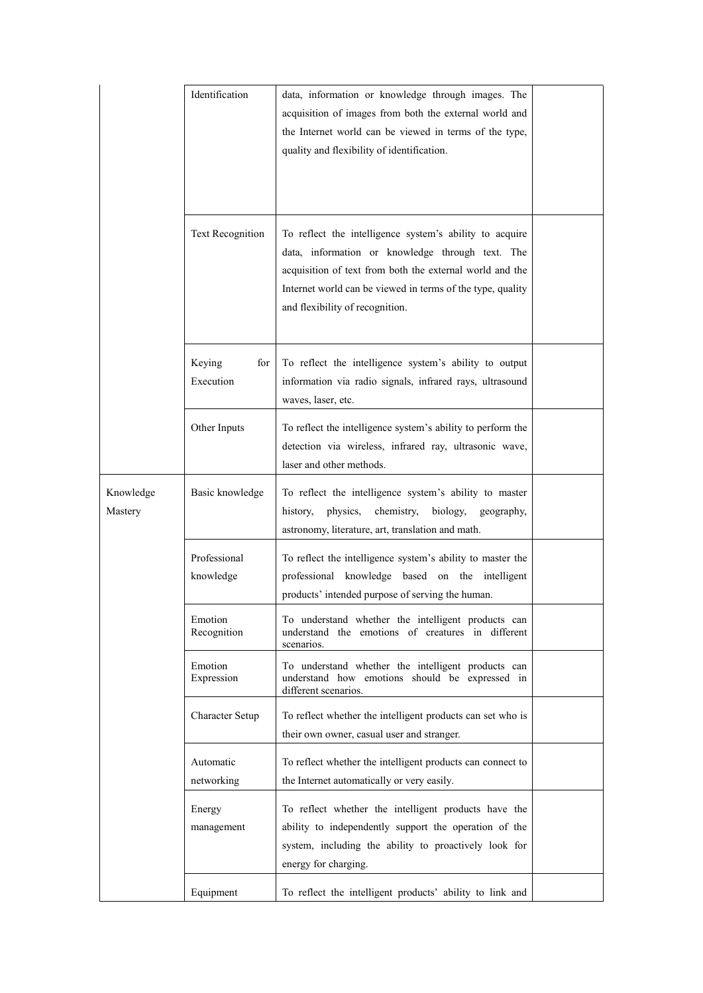|                      | Identification             | data, information or knowledge through images. The<br>acquisition of images from both the external world and<br>the Internet world can be viewed in terms of the type,<br>quality and flexibility of identification.                                                     |  |
|----------------------|----------------------------|--------------------------------------------------------------------------------------------------------------------------------------------------------------------------------------------------------------------------------------------------------------------------|--|
|                      | Text Recognition           | To reflect the intelligence system's ability to acquire<br>data, information or knowledge through text. The<br>acquisition of text from both the external world and the<br>Internet world can be viewed in terms of the type, quality<br>and flexibility of recognition. |  |
|                      | Keying<br>for<br>Execution | To reflect the intelligence system's ability to output<br>information via radio signals, infrared rays, ultrasound<br>waves, laser, etc.                                                                                                                                 |  |
|                      | Other Inputs               | To reflect the intelligence system's ability to perform the<br>detection via wireless, infrared ray, ultrasonic wave,<br>laser and other methods.                                                                                                                        |  |
| Knowledge<br>Mastery | Basic knowledge            | To reflect the intelligence system's ability to master<br>history,<br>physics,<br>chemistry,<br>biology,<br>geography,<br>astronomy, literature, art, translation and math.                                                                                              |  |
|                      | Professional<br>knowledge  | To reflect the intelligence system's ability to master the<br>professional knowledge based on the intelligent<br>products' intended purpose of serving the human.                                                                                                        |  |
|                      | Emotion<br>Recognition     | To understand whether the intelligent products can<br>understand the emotions of creatures in different<br>scenarios.                                                                                                                                                    |  |
|                      | Emotion<br>Expression      | To understand whether the intelligent products can<br>understand how emotions should be expressed in<br>different scenarios.                                                                                                                                             |  |
|                      | Character Setup            | To reflect whether the intelligent products can set who is<br>their own owner, casual user and stranger.                                                                                                                                                                 |  |
|                      | Automatic<br>networking    | To reflect whether the intelligent products can connect to<br>the Internet automatically or very easily.                                                                                                                                                                 |  |
|                      | Energy<br>management       | To reflect whether the intelligent products have the<br>ability to independently support the operation of the<br>system, including the ability to proactively look for<br>energy for charging.                                                                           |  |
|                      | Equipment                  | To reflect the intelligent products' ability to link and                                                                                                                                                                                                                 |  |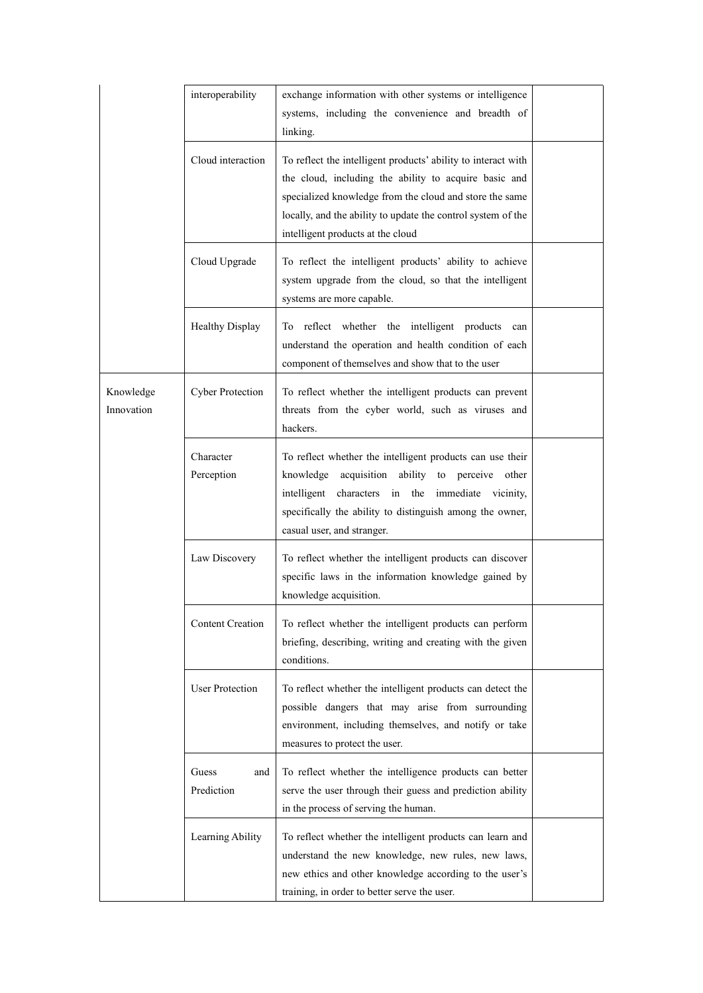|                         | interoperability           | exchange information with other systems or intelligence<br>systems, including the convenience and breadth of<br>linking.                                                                                                                                                               |  |
|-------------------------|----------------------------|----------------------------------------------------------------------------------------------------------------------------------------------------------------------------------------------------------------------------------------------------------------------------------------|--|
|                         | Cloud interaction          | To reflect the intelligent products' ability to interact with<br>the cloud, including the ability to acquire basic and<br>specialized knowledge from the cloud and store the same<br>locally, and the ability to update the control system of the<br>intelligent products at the cloud |  |
|                         | Cloud Upgrade              | To reflect the intelligent products' ability to achieve<br>system upgrade from the cloud, so that the intelligent<br>systems are more capable.                                                                                                                                         |  |
|                         | <b>Healthy Display</b>     | To reflect whether the intelligent products can<br>understand the operation and health condition of each<br>component of themselves and show that to the user                                                                                                                          |  |
| Knowledge<br>Innovation | <b>Cyber Protection</b>    | To reflect whether the intelligent products can prevent<br>threats from the cyber world, such as viruses and<br>hackers.                                                                                                                                                               |  |
|                         | Character<br>Perception    | To reflect whether the intelligent products can use their<br>knowledge acquisition ability to perceive other<br>intelligent characters in the immediate vicinity,<br>specifically the ability to distinguish among the owner,<br>casual user, and stranger.                            |  |
|                         | Law Discovery              | To reflect whether the intelligent products can discover<br>specific laws in the information knowledge gained by<br>knowledge acquisition.                                                                                                                                             |  |
|                         | <b>Content Creation</b>    | To reflect whether the intelligent products can perform<br>briefing, describing, writing and creating with the given<br>conditions.                                                                                                                                                    |  |
|                         | <b>User Protection</b>     | To reflect whether the intelligent products can detect the<br>possible dangers that may arise from surrounding<br>environment, including themselves, and notify or take<br>measures to protect the user.                                                                               |  |
|                         | Guess<br>and<br>Prediction | To reflect whether the intelligence products can better<br>serve the user through their guess and prediction ability<br>in the process of serving the human.                                                                                                                           |  |
|                         | Learning Ability           | To reflect whether the intelligent products can learn and<br>understand the new knowledge, new rules, new laws,<br>new ethics and other knowledge according to the user's<br>training, in order to better serve the user.                                                              |  |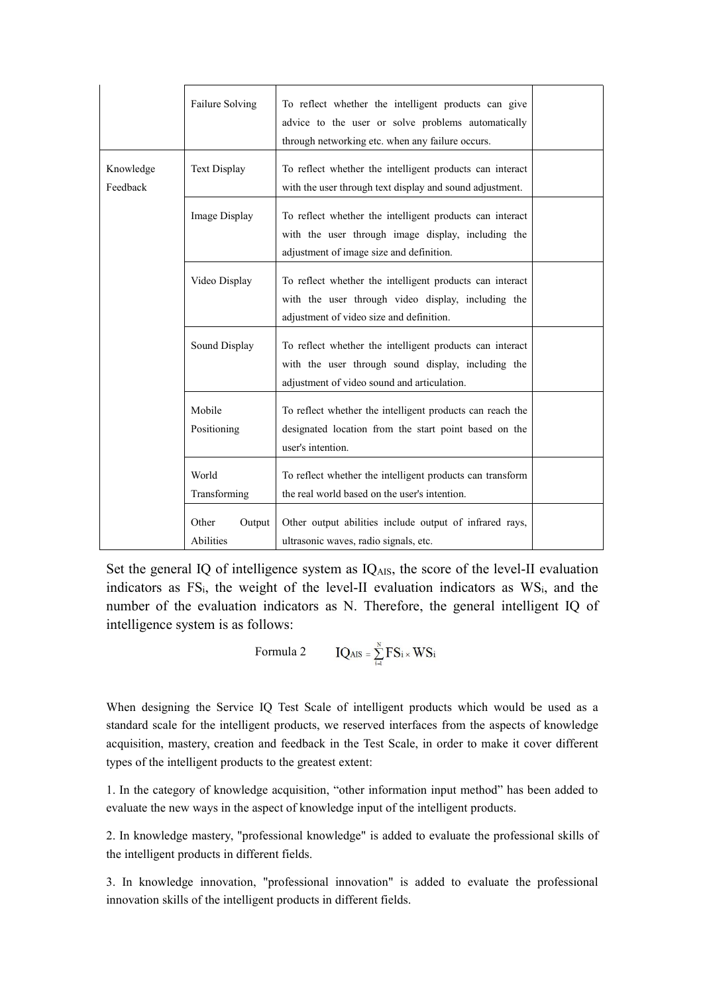|                       | Failure Solving              | To reflect whether the intelligent products can give<br>advice to the user or solve problems automatically<br>through networking etc. when any failure occurs. |  |
|-----------------------|------------------------------|----------------------------------------------------------------------------------------------------------------------------------------------------------------|--|
| Knowledge<br>Feedback | <b>Text Display</b>          | To reflect whether the intelligent products can interact<br>with the user through text display and sound adjustment.                                           |  |
|                       | Image Display                | To reflect whether the intelligent products can interact<br>with the user through image display, including the<br>adjustment of image size and definition.     |  |
|                       | Video Display                | To reflect whether the intelligent products can interact<br>with the user through video display, including the<br>adjustment of video size and definition.     |  |
|                       | Sound Display                | To reflect whether the intelligent products can interact<br>with the user through sound display, including the<br>adjustment of video sound and articulation.  |  |
|                       | Mobile<br>Positioning        | To reflect whether the intelligent products can reach the<br>designated location from the start point based on the<br>user's intention.                        |  |
|                       | World<br>Transforming        | To reflect whether the intelligent products can transform<br>the real world based on the user's intention.                                                     |  |
|                       | Other<br>Output<br>Abilities | Other output abilities include output of infrared rays,<br>ultrasonic waves, radio signals, etc.                                                               |  |

Set the general IQ of intelligence system as  $IQ_{AIS}$ , the score of the level-II evaluation indicators as FS<sub>i</sub>, the weight of the level-II evaluation indicators as WS<sub>i</sub>, and the number of the evaluation indicators as N. Therefore, the general intelligent IQ of intelligence system is as follows:

Formula 2 
$$
IQ_{AIS} = \sum_{i=1}^{N} FS_i \times WS_i
$$

When designing the Service IQ Test Scale of intelligent products which would be used as a standard scale for the intelligent products, we reserved interfaces from the aspects of knowledge acquisition, mastery, creation and feedback in the Test Scale, in order to make it cover different types of the intelligent products to the greatest extent:

1. In the category of knowledge acquisition, "other information input method" has been added to evaluate the new ways in the aspect of knowledge input of the intelligent products.

2. In knowledge mastery,"professional knowledge" is added to evaluate the professional skills of the intelligent products in different fields.

3. In knowledge innovation, "professional innovation" is added to evaluate the professional innovation skills of the intelligent products in different fields.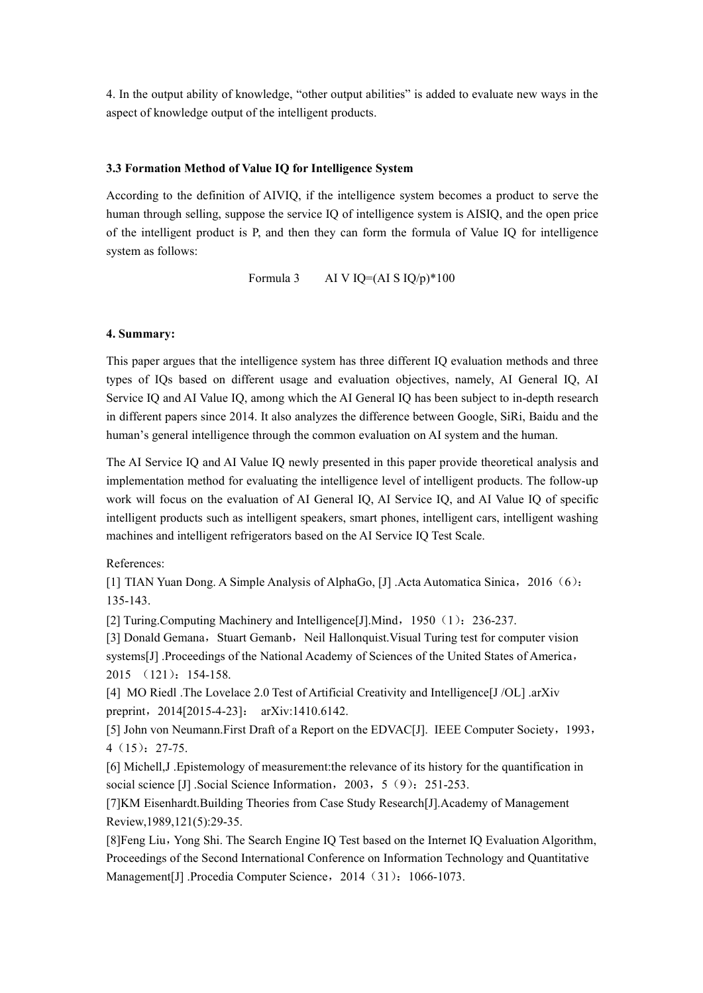4. In the output ability of knowledge, "other output abilities" is added to evaluate new ways in the aspect of knowledge output of the intelligent products.

#### **3.3 Formation Method of Value IQ for Intelligence System**

According to the definition of AIVIQ, if the intelligence system becomes a product to serve the human through selling, suppose the service IQ of intelligence system is AISIQ, and the open price of the intelligent product is P, and then they can form the formula of Value IQ for intelligence system as follows:

Formula 3 AI V IQ=(AI S  $IQ/p$ )\*100

#### **4. Summary:**

This paper argues that the intelligence system has three different IQ evaluation methods and three types of IQs based on different usage and evaluation objectives, namely, AI General IQ, AI Service IQ and AI Value IQ, among which the AI General IQ has been subject to in-depth research in different papers since 2014. It also analyzes the difference between Google, SiRi, Baidu and the human's general intelligence through the common evaluation on AI system and the human.

The AI Service IQ and AI Value IQ newly presented in this paper provide theoretical analysis and implementation method for evaluating the intelligence level of intelligent products. The follow-up work will focus on the evaluation of AI General IQ, AI Service IQ, and AI Value IQ of specific intelligent products such as intelligent speakers, smart phones, intelligent cars, intelligent washing machines and intelligent refrigerators based on the AI Service IO Test Scale.

References:

[1] TIAN Yuan Dong. A Simple Analysis of AlphaGo, [J] .Acta Automatica Sinica,2016(6): 135-143.

[2] Turing.Computing Machinery and Intelligence[J].Mind, 1950 (1): 236-237.

[3] Donald Gemana, Stuart Gemanb, Neil Hallonquist. Visual Turing test for computer vision systems[J] .Proceedings of the National Academy of Sciences of the United States of America, 2015 (121):154-158.

[4] MO Riedl .The Lovelace 2.0 Test of Artificial Creativity and Intelligence[J /OL] .arXiv preprint, 2014[2015-4-23]: arXiv:1410.6142.

[5] John von Neumann.First Draft of a Report on the EDVAC[J]. IEEE Computer Society, 1993, 4(15):27-75.

[6] Michell,J .Epistemology of measurement:the relevance of its history for the quantification in social science [J] .Social Science Information, 2003, 5 (9): 251-253.

[7]KM Eisenhardt.Building Theories from Case Study Research[J].Academy of Management Review,1989,121(5):29-35.

[8]Feng Liu,Yong Shi. The Search Engine IQ Test based on the Internet IQ Evaluation Algorithm, Proceedings of the Second International Conference on Information Technology and Quantitative Management[J] .Procedia Computer Science, 2014 (31): 1066-1073.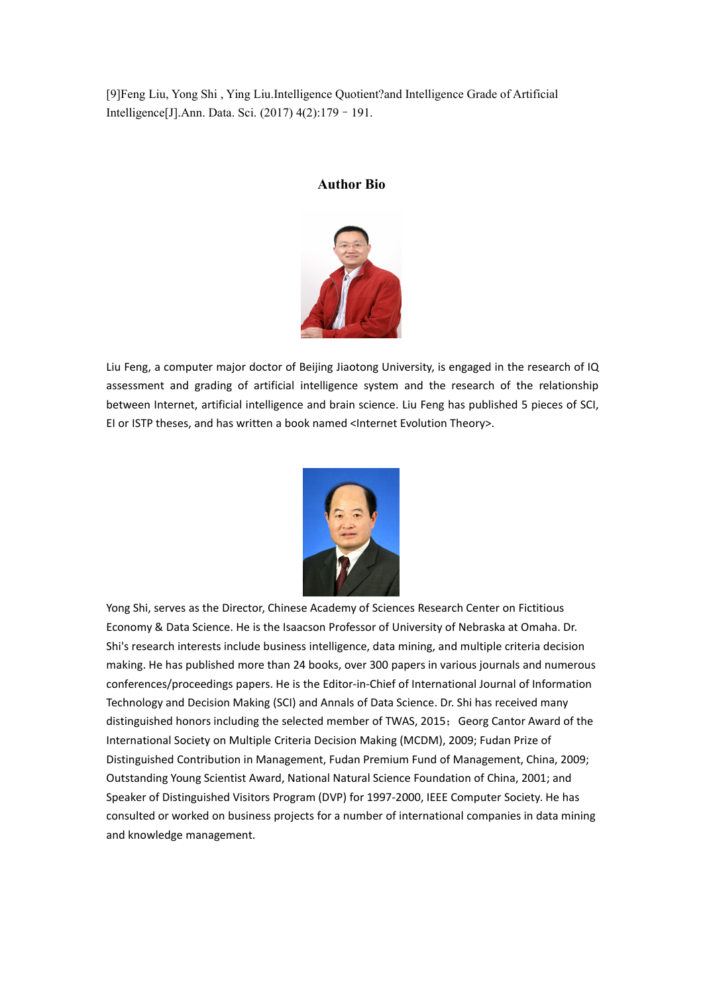[9]Feng Liu, Yong Shi ,Ying Liu.Intelligence Quotient?and Intelligence Grade of Artificial Intelligence[J].Ann. Data. Sci. (2017) 4(2):179–191.

# **Author Bio**



Liu Feng, a computer major doctor of Beijing Jiaotong University, is engaged in the research of IQ assessment and grading of artificial intelligence system and the research of the relationship between Internet, artificial intelligence and brain science. Liu Feng has published 5 pieces of SCI, EI or ISTP theses, and has written a book named <Internet Evolution Theory>.



Yong Shi, serves as the Director, Chinese Academy of Sciences Research Center on Fictitious Economy & Data Science. He is the Isaacson Professor of University of Nebraska at Omaha. Dr. Shi's research interests include business intelligence, data mining, and multiple criteria decision making. He has published more than 24 books, over 300 papers in various journals and numerous conferences/proceedings papers. He is the Editor-in-Chief of International Journal of Information Technology and Decision Making (SCI) and Annals of Data Science. Dr. Shi has received many distinguished honors including the selected member of TWAS, 2015; Georg Cantor Award of the International Society on Multiple Criteria Decision Making (MCDM), 2009; Fudan Prize of Distinguished Contribution in Management, Fudan Premium Fund of Management, China, 2009; Outstanding Young Scientist Award, National Natural Science Foundation of China, 2001; and Speaker of Distinguished Visitors Program (DVP) for 1997-2000, IEEE Computer Society. He has consulted or worked on business projects for a number of international companies in data mining and knowledge management.